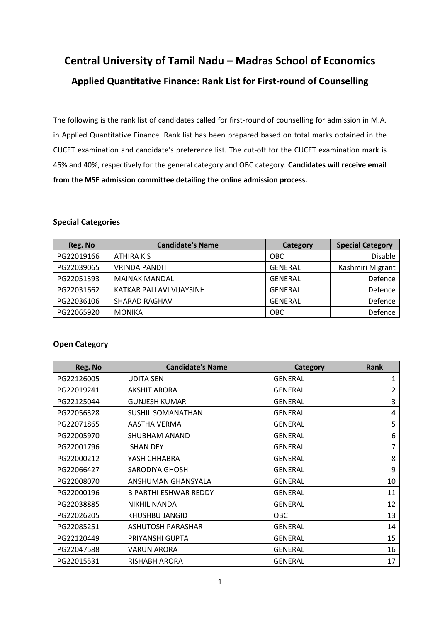# **Central University of Tamil Nadu – Madras School of Economics Applied Quantitative Finance: Rank List for First-round of Counselling**

The following is the rank list of candidates called for first-round of counselling for admission in M.A. in Applied Quantitative Finance. Rank list has been prepared based on total marks obtained in the CUCET examination and candidate's preference list. The cut-off for the CUCET examination mark is 45% and 40%, respectively for the general category and OBC category. **Candidates will receive email from the MSE admission committee detailing the online admission process.**

#### **Special Categories**

| Reg. No    | <b>Candidate's Name</b>  | <b>Category</b> | <b>Special Category</b> |
|------------|--------------------------|-----------------|-------------------------|
| PG22019166 | ATHIRA K S               | OBC             | <b>Disable</b>          |
| PG22039065 | <b>VRINDA PANDIT</b>     | <b>GENERAL</b>  | Kashmiri Migrant        |
| PG22051393 | <b>MAINAK MANDAL</b>     | <b>GENERAL</b>  | Defence                 |
| PG22031662 | KATKAR PALLAVI VIJAYSINH | <b>GENERAL</b>  | Defence                 |
| PG22036106 | <b>SHARAD RAGHAV</b>     | <b>GENERAL</b>  | Defence                 |
| PG22065920 | <b>MONIKA</b>            | <b>OBC</b>      | Defence                 |

#### **Open Category**

| Reg. No    | <b>Candidate's Name</b>      | Category       | <b>Rank</b>    |
|------------|------------------------------|----------------|----------------|
| PG22126005 | <b>UDITA SEN</b>             | <b>GENERAL</b> | 1              |
| PG22019241 | <b>AKSHIT ARORA</b>          | <b>GENERAL</b> | 2              |
| PG22125044 | <b>GUNJESH KUMAR</b>         | <b>GENERAL</b> | 3              |
| PG22056328 | <b>SUSHIL SOMANATHAN</b>     | <b>GENERAL</b> | 4              |
| PG22071865 | AASTHA VERMA                 | <b>GENERAL</b> | 5              |
| PG22005970 | SHUBHAM ANAND                | <b>GENERAL</b> | 6              |
| PG22001796 | <b>ISHAN DEY</b>             | <b>GENERAL</b> | $\overline{7}$ |
| PG22000212 | YASH CHHABRA                 | <b>GENERAL</b> | 8              |
| PG22066427 | <b>SARODIYA GHOSH</b>        | <b>GENERAL</b> | 9              |
| PG22008070 | ANSHUMAN GHANSYALA           | <b>GENERAL</b> | 10             |
| PG22000196 | <b>B PARTHI ESHWAR REDDY</b> | <b>GENERAL</b> | 11             |
| PG22038885 | <b>NIKHIL NANDA</b>          | <b>GENERAL</b> | 12             |
| PG22026205 | KHUSHBU JANGID               | <b>OBC</b>     | 13             |
| PG22085251 | ASHUTOSH PARASHAR            | <b>GENERAL</b> | 14             |
| PG22120449 | PRIYANSHI GUPTA              | <b>GENERAL</b> | 15             |
| PG22047588 | <b>VARUN ARORA</b>           | <b>GENERAL</b> | 16             |
| PG22015531 | RISHABH ARORA                | <b>GENERAL</b> | 17             |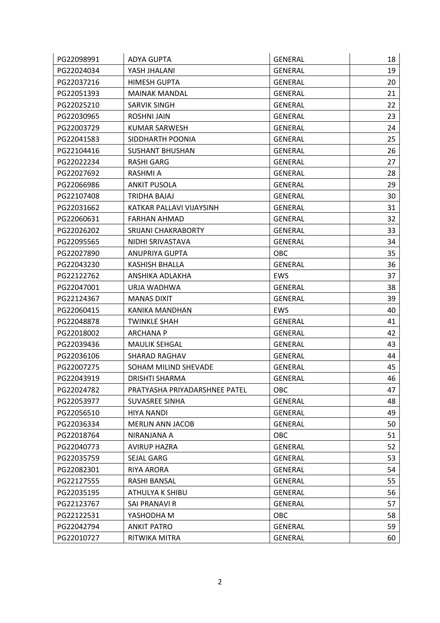| PG22098991 | ADYA GUPTA                    | <b>GENERAL</b> | 18 |
|------------|-------------------------------|----------------|----|
| PG22024034 | YASH JHALANI                  | <b>GENERAL</b> | 19 |
| PG22037216 | <b>HIMESH GUPTA</b>           | <b>GENERAL</b> | 20 |
| PG22051393 | <b>MAINAK MANDAL</b>          | <b>GENERAL</b> | 21 |
| PG22025210 | <b>SARVIK SINGH</b>           | <b>GENERAL</b> | 22 |
| PG22030965 | <b>ROSHNI JAIN</b>            | <b>GENERAL</b> | 23 |
| PG22003729 | <b>KUMAR SARWESH</b>          | <b>GENERAL</b> | 24 |
| PG22041583 | SIDDHARTH POONIA              | <b>GENERAL</b> | 25 |
| PG22104416 | <b>SUSHANT BHUSHAN</b>        | <b>GENERAL</b> | 26 |
| PG22022234 | <b>RASHI GARG</b>             | <b>GENERAL</b> | 27 |
| PG22027692 | RASHMI A                      | <b>GENERAL</b> | 28 |
| PG22066986 | <b>ANKIT PUSOLA</b>           | <b>GENERAL</b> | 29 |
| PG22107408 | TRIDHA BAJAJ                  | <b>GENERAL</b> | 30 |
| PG22031662 | KATKAR PALLAVI VIJAYSINH      | <b>GENERAL</b> | 31 |
| PG22060631 | <b>FARHAN AHMAD</b>           | <b>GENERAL</b> | 32 |
| PG22026202 | SRIJANI CHAKRABORTY           | <b>GENERAL</b> | 33 |
| PG22095565 | NIDHI SRIVASTAVA              | <b>GENERAL</b> | 34 |
| PG22027890 | <b>ANUPRIYA GUPTA</b>         | OBC            | 35 |
| PG22043230 | <b>KASHISH BHALLA</b>         | <b>GENERAL</b> | 36 |
| PG22122762 | ANSHIKA ADLAKHA               | <b>EWS</b>     | 37 |
| PG22047001 | URJA WADHWA                   | <b>GENERAL</b> | 38 |
| PG22124367 | <b>MANAS DIXIT</b>            | <b>GENERAL</b> | 39 |
| PG22060415 | KANIKA MANDHAN                | <b>EWS</b>     | 40 |
| PG22048878 | <b>TWINKLE SHAH</b>           | <b>GENERAL</b> | 41 |
| PG22018002 | <b>ARCHANA P</b>              | <b>GENERAL</b> | 42 |
| PG22039436 | <b>MAULIK SEHGAL</b>          | <b>GENERAL</b> | 43 |
| PG22036106 | <b>SHARAD RAGHAV</b>          | <b>GENERAL</b> | 44 |
| PG22007275 | SOHAM MILIND SHEVADE          | <b>GENERAL</b> | 45 |
| PG22043919 | <b>DRISHTI SHARMA</b>         | <b>GENERAL</b> | 46 |
| PG22024782 | PRATYASHA PRIYADARSHNEE PATEL | OBC            | 47 |
| PG22053977 | SUVASREE SINHA                | <b>GENERAL</b> | 48 |
| PG22056510 | <b>HIYA NANDI</b>             | <b>GENERAL</b> | 49 |
| PG22036334 | <b>MERLIN ANN JACOB</b>       | <b>GENERAL</b> | 50 |
| PG22018764 | NIRANJANA A                   | <b>OBC</b>     | 51 |
| PG22040773 | <b>AVIRUP HAZRA</b>           | <b>GENERAL</b> | 52 |
| PG22035759 | SEJAL GARG                    | <b>GENERAL</b> | 53 |
| PG22082301 | <b>RIYA ARORA</b>             | <b>GENERAL</b> | 54 |
| PG22127555 | RASHI BANSAL                  | <b>GENERAL</b> | 55 |
| PG22035195 | ATHULYA K SHIBU               | <b>GENERAL</b> | 56 |
| PG22123767 | SAI PRANAVI R                 | <b>GENERAL</b> | 57 |
| PG22122531 | YASHODHA M                    | OBC            | 58 |
| PG22042794 | <b>ANKIT PATRO</b>            | <b>GENERAL</b> | 59 |
| PG22010727 | RITWIKA MITRA                 | GENERAL        | 60 |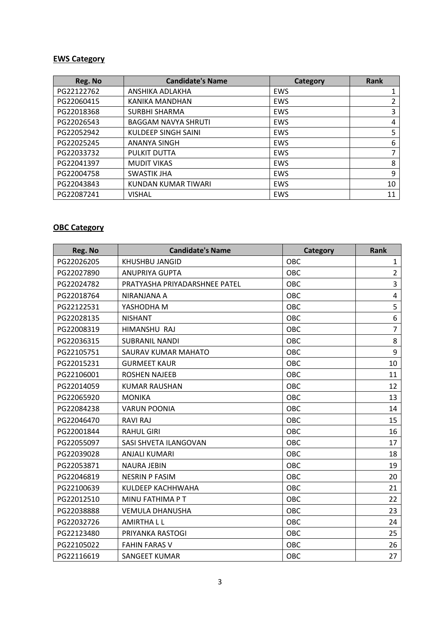#### **EWS Category**

| Reg. No    | <b>Candidate's Name</b>    | Category   | <b>Rank</b> |
|------------|----------------------------|------------|-------------|
| PG22122762 | ANSHIKA ADLAKHA            | EWS        |             |
| PG22060415 | KANIKA MANDHAN             | <b>EWS</b> | 2           |
| PG22018368 | <b>SURBHI SHARMA</b>       | <b>EWS</b> | 3           |
| PG22026543 | <b>BAGGAM NAVYA SHRUTI</b> | <b>EWS</b> | 4           |
| PG22052942 | KULDEEP SINGH SAINI        | EWS        | 5           |
| PG22025245 | <b>ANANYA SINGH</b>        | <b>EWS</b> | 6           |
| PG22033732 | PULKIT DUTTA               | EWS        | ⇁           |
| PG22041397 | <b>MUDIT VIKAS</b>         | <b>EWS</b> | 8           |
| PG22004758 | <b>SWASTIK JHA</b>         | EWS        | 9           |
| PG22043843 | KUNDAN KUMAR TIWARI        | <b>EWS</b> | 10          |
| PG22087241 | <b>VISHAL</b>              | <b>EWS</b> | 11          |

## **OBC Category**

| Reg. No    | <b>Candidate's Name</b>       | Category   | <b>Rank</b>    |
|------------|-------------------------------|------------|----------------|
| PG22026205 | KHUSHBU JANGID                | OBC        | $\mathbf{1}$   |
| PG22027890 | <b>ANUPRIYA GUPTA</b>         | <b>OBC</b> | $\overline{2}$ |
| PG22024782 | PRATYASHA PRIYADARSHNEE PATEL | <b>OBC</b> | $\overline{3}$ |
| PG22018764 | NIRANJANA A                   | OBC        | 4              |
| PG22122531 | YASHODHA M                    | <b>OBC</b> | 5              |
| PG22028135 | <b>NISHANT</b>                | <b>OBC</b> | 6              |
| PG22008319 | HIMANSHU RAJ                  | OBC        | $\overline{7}$ |
| PG22036315 | <b>SUBRANIL NANDI</b>         | OBC        | 8              |
| PG22105751 | SAURAV KUMAR MAHATO           | OBC        | 9              |
| PG22015231 | <b>GURMEET KAUR</b>           | OBC        | 10             |
| PG22106001 | <b>ROSHEN NAJEEB</b>          | OBC        | 11             |
| PG22014059 | <b>KUMAR RAUSHAN</b>          | <b>OBC</b> | 12             |
| PG22065920 | <b>MONIKA</b>                 | OBC        | 13             |
| PG22084238 | <b>VARUN POONIA</b>           | <b>OBC</b> | 14             |
| PG22046470 | <b>RAVI RAJ</b>               | OBC        | 15             |
| PG22001844 | <b>RAHUL GIRI</b>             | OBC        | 16             |
| PG22055097 | SASI SHVETA ILANGOVAN         | OBC        | 17             |
| PG22039028 | <b>ANJALI KUMARI</b>          | <b>OBC</b> | 18             |
| PG22053871 | <b>NAURA JEBIN</b>            | OBC        | 19             |
| PG22046819 | <b>NESRIN P FASIM</b>         | OBC        | 20             |
| PG22100639 | KULDEEP KACHHWAHA             | <b>OBC</b> | 21             |
| PG22012510 | MINU FATHIMA P T              | <b>OBC</b> | 22             |
| PG22038888 | <b>VEMULA DHANUSHA</b>        | <b>OBC</b> | 23             |
| PG22032726 | <b>AMIRTHALL</b>              | OBC        | 24             |
| PG22123480 | PRIYANKA RASTOGI              | OBC        | 25             |
| PG22105022 | <b>FAHIN FARAS V</b>          | OBC        | 26             |
| PG22116619 | SANGEET KUMAR                 | OBC        | 27             |